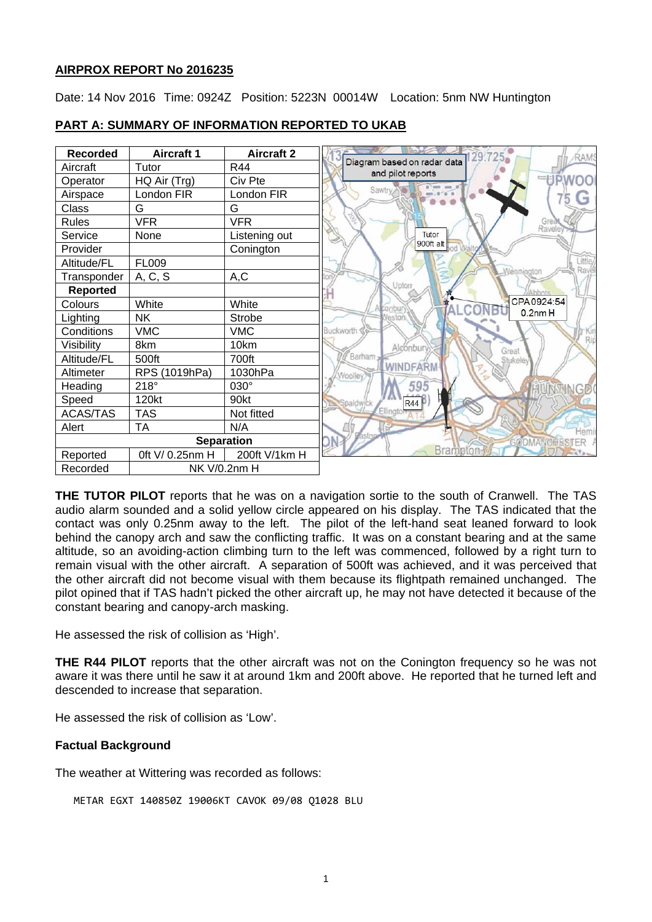## **AIRPROX REPORT No 2016235**

Date: 14 Nov 2016 Time: 0924Z Position: 5223N 00014W Location: 5nm NW Huntington



# **PART A: SUMMARY OF INFORMATION REPORTED TO UKAB**

**THE TUTOR PILOT** reports that he was on a navigation sortie to the south of Cranwell. The TAS audio alarm sounded and a solid yellow circle appeared on his display. The TAS indicated that the contact was only 0.25nm away to the left. The pilot of the left-hand seat leaned forward to look behind the canopy arch and saw the conflicting traffic. It was on a constant bearing and at the same altitude, so an avoiding-action climbing turn to the left was commenced, followed by a right turn to remain visual with the other aircraft. A separation of 500ft was achieved, and it was perceived that the other aircraft did not become visual with them because its flightpath remained unchanged. The pilot opined that if TAS hadn't picked the other aircraft up, he may not have detected it because of the constant bearing and canopy-arch masking.

He assessed the risk of collision as 'High'.

**THE R44 PILOT** reports that the other aircraft was not on the Conington frequency so he was not aware it was there until he saw it at around 1km and 200ft above. He reported that he turned left and descended to increase that separation.

He assessed the risk of collision as 'Low'.

# **Factual Background**

The weather at Wittering was recorded as follows:

METAR EGXT 140850Z 19006KT CAVOK 09/08 Q1028 BLU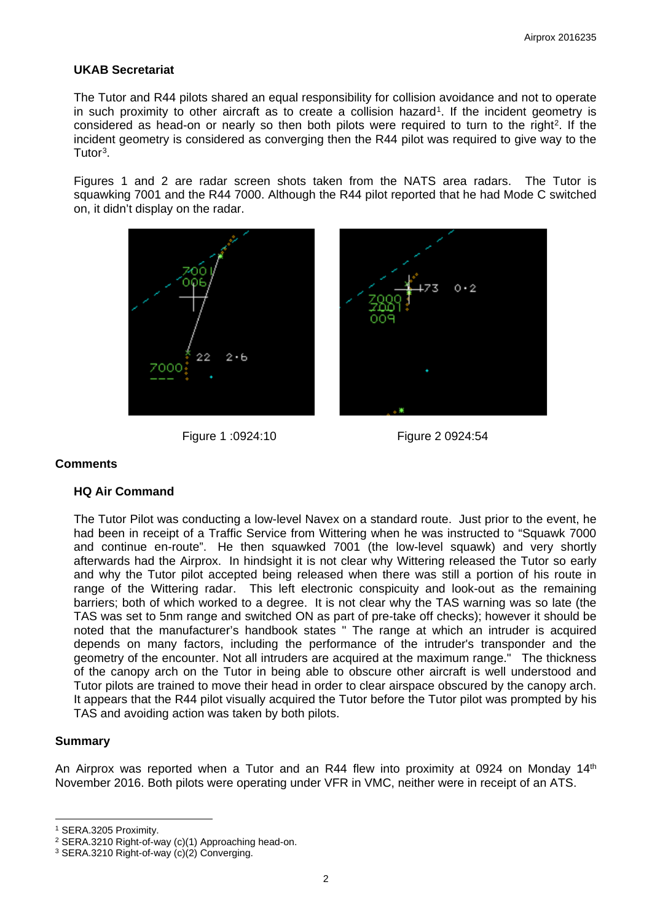## **UKAB Secretariat**

The Tutor and R44 pilots shared an equal responsibility for collision avoidance and not to operate in such proximity to other aircraft as to create a collision hazard<sup>1</sup>. If the incident geometry is considered as head-on or nearly so then both pilots were required to turn to the right<sup>[2](#page-1-1)</sup>. If the incident geometry is considered as converging then the R44 pilot was required to give way to the Tutor[3.](#page-1-2)

Figures 1 and 2 are radar screen shots taken from the NATS area radars. The Tutor is squawking 7001 and the R44 7000. Although the R44 pilot reported that he had Mode C switched on, it didn't display on the radar.



Figure 1 :0924:10 Figure 2 0924:54



#### **Comments**

#### **HQ Air Command**

The Tutor Pilot was conducting a low-level Navex on a standard route. Just prior to the event, he had been in receipt of a Traffic Service from Wittering when he was instructed to "Squawk 7000 and continue en-route". He then squawked 7001 (the low-level squawk) and very shortly afterwards had the Airprox. In hindsight it is not clear why Wittering released the Tutor so early and why the Tutor pilot accepted being released when there was still a portion of his route in range of the Wittering radar. This left electronic conspicuity and look-out as the remaining barriers; both of which worked to a degree. It is not clear why the TAS warning was so late (the TAS was set to 5nm range and switched ON as part of pre-take off checks); however it should be noted that the manufacturer's handbook states " The range at which an intruder is acquired depends on many factors, including the performance of the intruder's transponder and the geometry of the encounter. Not all intruders are acquired at the maximum range." The thickness of the canopy arch on the Tutor in being able to obscure other aircraft is well understood and Tutor pilots are trained to move their head in order to clear airspace obscured by the canopy arch. It appears that the R44 pilot visually acquired the Tutor before the Tutor pilot was prompted by his TAS and avoiding action was taken by both pilots.

#### **Summary**

 $\overline{a}$ 

An Airprox was reported when a Tutor and an R44 flew into proximity at 0924 on Monday 14<sup>th</sup> November 2016. Both pilots were operating under VFR in VMC, neither were in receipt of an ATS.

<span id="page-1-0"></span><sup>1</sup> SERA.3205 Proximity.

<span id="page-1-1"></span><sup>2</sup> SERA.3210 Right-of-way (c)(1) Approaching head-on.

<span id="page-1-2"></span><sup>3</sup> SERA.3210 Right-of-way (c)(2) Converging.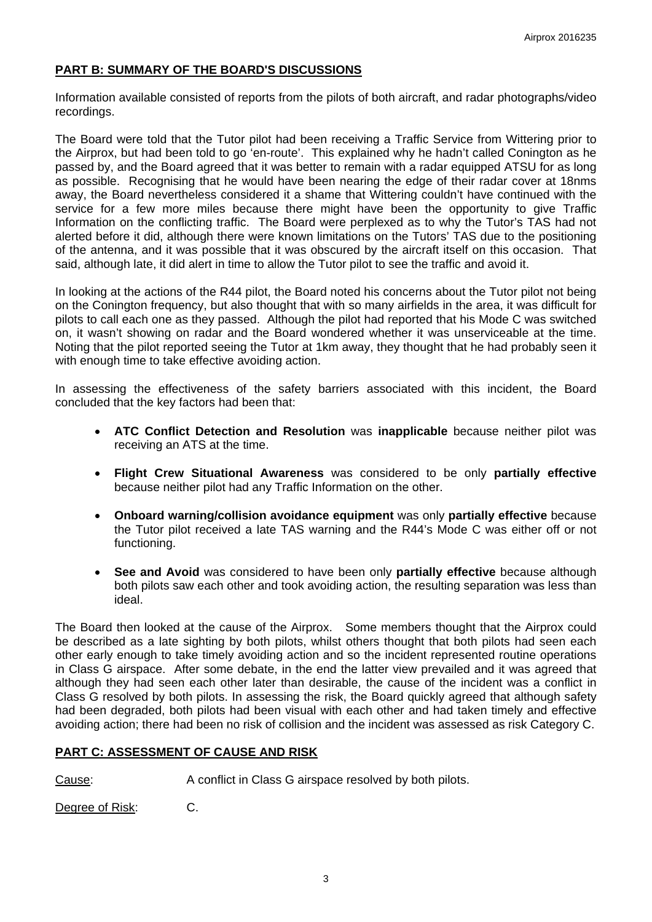# **PART B: SUMMARY OF THE BOARD'S DISCUSSIONS**

Information available consisted of reports from the pilots of both aircraft, and radar photographs/video recordings.

The Board were told that the Tutor pilot had been receiving a Traffic Service from Wittering prior to the Airprox, but had been told to go 'en-route'. This explained why he hadn't called Conington as he passed by, and the Board agreed that it was better to remain with a radar equipped ATSU for as long as possible. Recognising that he would have been nearing the edge of their radar cover at 18nms away, the Board nevertheless considered it a shame that Wittering couldn't have continued with the service for a few more miles because there might have been the opportunity to give Traffic Information on the conflicting traffic. The Board were perplexed as to why the Tutor's TAS had not alerted before it did, although there were known limitations on the Tutors' TAS due to the positioning of the antenna, and it was possible that it was obscured by the aircraft itself on this occasion. That said, although late, it did alert in time to allow the Tutor pilot to see the traffic and avoid it.

In looking at the actions of the R44 pilot, the Board noted his concerns about the Tutor pilot not being on the Conington frequency, but also thought that with so many airfields in the area, it was difficult for pilots to call each one as they passed. Although the pilot had reported that his Mode C was switched on, it wasn't showing on radar and the Board wondered whether it was unserviceable at the time. Noting that the pilot reported seeing the Tutor at 1km away, they thought that he had probably seen it with enough time to take effective avoiding action.

In assessing the effectiveness of the safety barriers associated with this incident, the Board concluded that the key factors had been that:

- **ATC Conflict Detection and Resolution** was **inapplicable** because neither pilot was receiving an ATS at the time.
- **Flight Crew Situational Awareness** was considered to be only **partially effective** because neither pilot had any Traffic Information on the other.
- **Onboard warning/collision avoidance equipment** was only **partially effective** because the Tutor pilot received a late TAS warning and the R44's Mode C was either off or not functioning.
- **See and Avoid** was considered to have been only **partially effective** because although both pilots saw each other and took avoiding action, the resulting separation was less than ideal.

The Board then looked at the cause of the Airprox. Some members thought that the Airprox could be described as a late sighting by both pilots, whilst others thought that both pilots had seen each other early enough to take timely avoiding action and so the incident represented routine operations in Class G airspace. After some debate, in the end the latter view prevailed and it was agreed that although they had seen each other later than desirable, the cause of the incident was a conflict in Class G resolved by both pilots. In assessing the risk, the Board quickly agreed that although safety had been degraded, both pilots had been visual with each other and had taken timely and effective avoiding action; there had been no risk of collision and the incident was assessed as risk Category C.

# **PART C: ASSESSMENT OF CAUSE AND RISK**

Cause: A conflict in Class G airspace resolved by both pilots.

Degree of Risk: C.